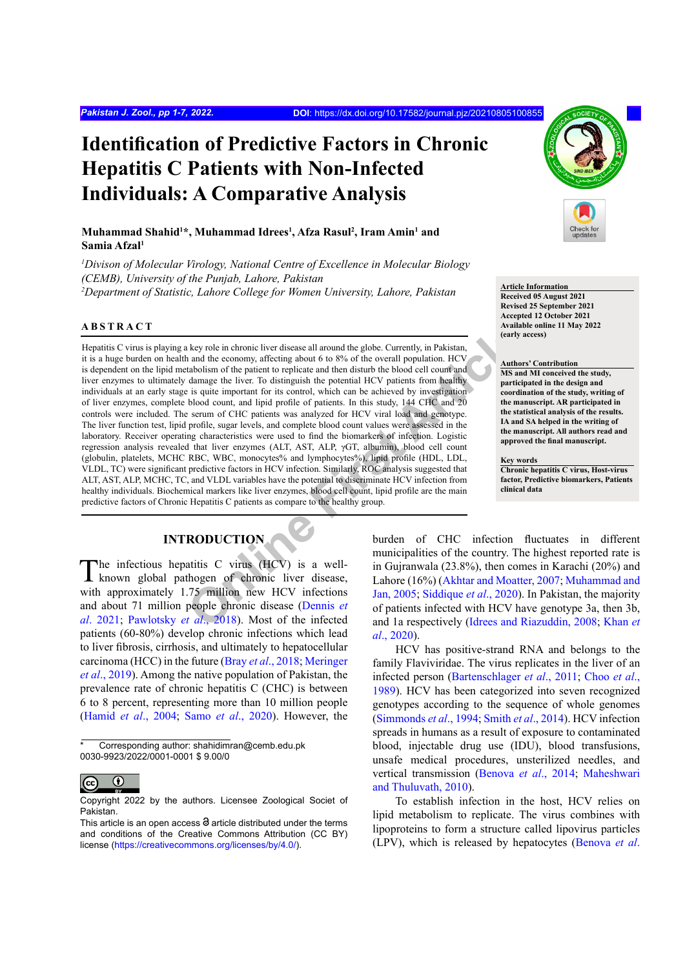# **Identification of Predictive Factors in Chronic Hepatitis C Patients with Non-Infected Individuals: A Comparative Analysis**

# **Muhammad Shahid<sup>1</sup> \*, Muhammad Idrees<sup>1</sup> , Afza Rasul<sup>2</sup> , Iram Amin<sup>1</sup> and Samia Afzal<sup>1</sup>**

*1 Divison of Molecular Virology, National Centre of Excellence in Molecular Biology (CEMB), University of the Punjab, Lahore, Pakistan* <sup>2</sup> Department of Statistic, Lahore College for Women University, Lahore, Pakistan **Article Information** 

### **ABSTRACT**

**[O](#page-6-0)nline First Article** Hepatitis C virus is playing a key role in chronic liver disease all around the globe. Currently, in Pakistan, it is a huge burden on health and the economy, affecting about 6 to 8% of the overall population. HCV is dependent on the lipid metabolism of the patient to replicate and then disturb the blood cell count and liver enzymes to ultimately damage the liver. To distinguish the potential HCV patients from healthy individuals at an early stage is quite important for its control, which can be achieved by investigation of liver enzymes, complete blood count, and lipid profile of patients. In this study, 144 CHC and 20 controls were included. The serum of CHC patients was analyzed for HCV viral load and genotype. The liver function test, lipid profile, sugar levels, and complete blood count values were assessed in the laboratory. Receiver operating characteristics were used to find the biomarkers of infection. Logistic regression analysis revealed that liver enzymes (ALT, AST, ALP, γGT, albumin), blood cell count (globulin, platelets, MCHC RBC, WBC, monocytes% and lymphocytes%), lipid profile (HDL, LDL, VLDL, TC) were significant predictive factors in HCV infection. Similarly, ROC analysis suggested that ALT, AST, ALP, MCHC, TC, and VLDL variables have the potential to discriminate HCV infection from healthy individuals. Biochemical markers like liver enzymes, blood cell count, lipid profile are the main predictive factors of Chronic Hepatitis C patients as compare to the healthy group.

# **INTRODUCTION**

The infectious hepatitis C virus (HCV) is a well-<br>known global pathogen of chronic liver disease, with approximately 1.75 million new HCV infections and about 71 million people chronic disease (Dennis *et al*[. 2021](#page-5-0); Pawlotsky *et al*., 2018). Most of the infected patients (60-80%) develop chronic infections which lead to liver fibrosis, cirrhosis, and ultimately to hepatocellular carcinoma (HCC) in the future (Bray *et al*[., 2018](#page-4-0); [Meringer](#page-6-1) *et al*[., 2019](#page-6-1)). Among the native population of Pakistan, the prevalence rate of chronic hepatitis C (CHC) is between 6 to 8 percent, representing more than 10 million people [\(Hamid](#page-5-1) *et al*., 2004; Samo *et al*[., 2020](#page-6-2)). However, the

Corresponding author: shahidimran@cemb.edu.pk 0030-9923/2022/0001-0001 \$ 9.00/0



**Received 05 August 2021 Revised 25 September 2021 Accepted 12 October 2021 Available online 11 May 2022 (early access)**

#### **Authors' Contribution MS and MI conceived the study, participated in the design and coordination of the study, writing of the manuscript. AR participated in the statistical analysis of the results. IA and SA helped in the writing of the manuscript. All authors read and approved the final manuscript.**

**Key words Chronic hepatitis C virus, Host-virus factor, Predictive biomarkers, Patients clinical data**

burden of CHC infection fluctuates in different municipalities of the country. The highest reported rate is in Gujranwala (23.8%), then comes in Karachi (20%) and Lahore (16%) ([Akhtar and Moatter, 2007;](#page-4-1) [Muhammad and](#page-6-3) Jan, 2005; Siddique *et al*., 2020). In Pakistan, the majority of patients infected with HCV have genotype 3a, then 3b, and 1a respectively [\(Idrees and Riazuddin, 2008](#page-5-2); [Khan](#page-5-3) *et al*[., 2020](#page-5-3)).

HCV has positive-strand RNA and belongs to the family Flaviviridae. The virus replicates in the liver of an infected person (Bartenschlager *et al*., 2011; [Choo](#page-4-2) *et al*., [1989](#page-4-2)). HCV has been categorized into seven recognized genotypes according to the sequence of whole genomes ([Simmonds](#page-6-5) *et al*., 1994; Smith *et al*[., 2014](#page-6-6)). HCV infection spreads in humans as a result of exposure to contaminated blood, injectable drug use (IDU), blood transfusions, unsafe medical procedures, unsterilized needles, and vertical transmission [\(Benova](#page-4-3) *et al*., 2014; [Maheshwari](#page-6-7) [and Thuluvath, 2010](#page-6-7)).

To establish infection in the host, HCV relies on lipid metabolism to replicate. The virus combines with lipoproteins to form a structure called lipovirus particles (LPV), which is released by hepatocytes ([Benova](#page-4-3) *et al*.

 $\odot$  $|$  (cc

Copyright 2022 by the authors. Licensee Zoological Societ of Pakistan.

This article is an open access  $\Theta$  article distributed under the terms and conditions of the Creative Commons Attribution (CC BY) license (https://creativecommons.org/licenses/by/4.0/).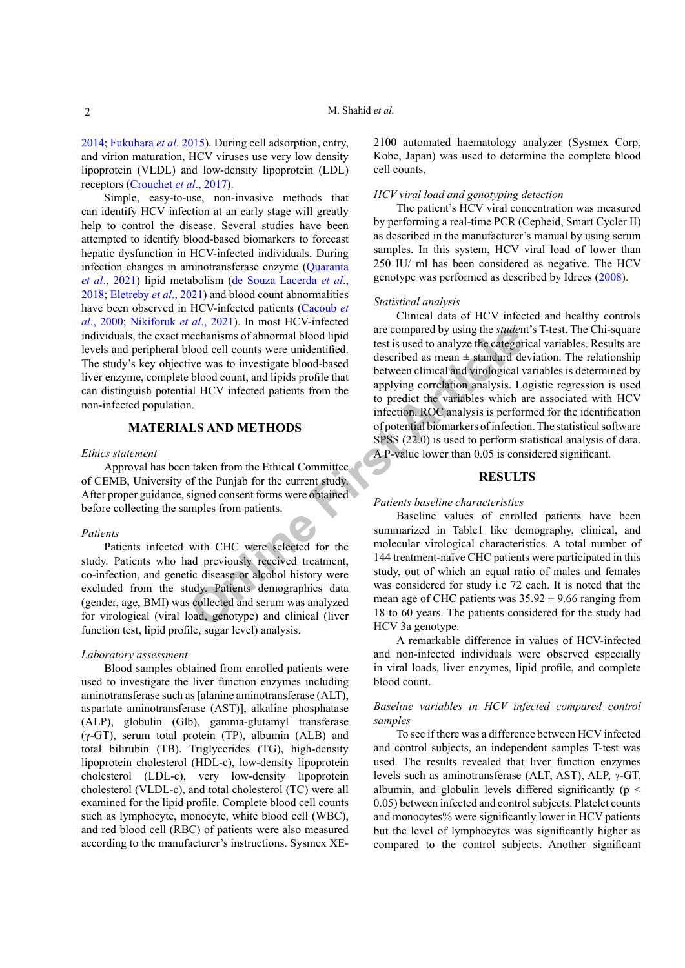[2014;](#page-4-3) [Fukuhara](#page-5-4) *et al*. 2015). During cell adsorption, entry, and virion maturation, HCV viruses use very low density lipoprotein (VLDL) and low-density lipoprotein (LDL) receptors [\(Crouchet](#page-5-5) *et al*., 2017).

Simple, easy-to-use, non-invasive methods that can identify HCV infection at an early stage will greatly help to control the disease. Several studies have been attempted to identify blood-based biomarkers to forecast hepatic dysfunction in HCV-infected individuals. During infection changes in aminotransferase enzyme (Quaranta *et al*., 2021) lipid metabolism ([de Souza Lacerda](#page-5-6) *et al*., [2018;](#page-5-6) [Eletreby](#page-5-7) *et al*., 2021) and blood count abnormalities have been observed in HCV-infected patients ([Cacoub](#page-4-4) *et al*[., 2000](#page-4-4); [Nikiforuk](#page-6-8) *et al*., 2021). In most HCV-infected individuals, the exact mechanisms of abnormal blood lipid levels and peripheral blood cell counts were unidentified. The study's key objective was to investigate blood-based liver enzyme, complete blood count, and lipids profile that can distinguish potential HCV infected patients from the non-infected population.

#### **MATERIALS AND METHODS**

#### *Ethics statement*

Approval has been taken from the Ethical Committee of CEMB, University of the Punjab for the current study. After proper guidance, signed consent forms were obtained before collecting the samples from patients.

#### *Patients*

Patients infected with CHC were selected for the study. Patients who had previously received treatment, co-infection, and genetic disease or alcohol history were excluded from the study. Patients demographics data (gender, age, BMI) was collected and serum was analyzed for virological (viral load, genotype) and clinical (liver function test, lipid profile, sugar level) analysis.

#### *Laboratory assessment*

Blood samples obtained from enrolled patients were used to investigate the liver function enzymes including aminotransferase such as [alanine aminotransferase (ALT), aspartate aminotransferase (AST)], alkaline phosphatase (ALP), globulin (Glb), gamma-glutamyl transferase  $(\gamma$ -GT), serum total protein (TP), albumin (ALB) and total bilirubin (TB). Triglycerides (TG), high-density lipoprotein cholesterol (HDL-c), low-density lipoprotein cholesterol (LDL-c), very low-density lipoprotein cholesterol (VLDL-c), and total cholesterol (TC) were all examined for the lipid profile. Complete blood cell counts such as lymphocyte, monocyte, white blood cell (WBC), and red blood cell (RBC) of patients were also measured according to the manufacturer's instructions. Sysmex XE- 2100 automated haematology analyzer (Sysmex Corp, Kobe, Japan) was used to determine the complete blood cell counts.

## *HCV viral load and genotyping detection*

The patient's HCV viral concentration was measured by performing a real-time PCR (Cepheid, Smart Cycler II) as described in the manufacturer's manual by using serum samples. In this system, HCV viral load of lower than 250 IU/ ml has been considered as negative. The HCV genotype was performed as described by Idrees ([2008](#page-5-8)).

#### *Statistical analysis*

**EXECUT:**<br>
The analysis of abnormal blood lipid<br>
Interactions of abnormal blood lipid<br>
Interaction and the state of the categoridal are compared by using the categorid<br>
Intervinced patients from the<br>
Intervinced patients f Clinical data of HCV infected and healthy controls are compared by using the *stude*nt's T-test. The Chi-square test is used to analyze the categorical variables. Results are described as mean  $\pm$  standard deviation. The relationship between clinical and virological variables is determined by applying correlation analysis. Logistic regression is used to predict the variables which are associated with HCV infection. ROC analysis is performed for the identification of potential biomarkers of infection. The statistical software SPSS (22.0) is used to perform statistical analysis of data. A P-value lower than 0.05 is considered significant.

#### **RESULTS**

#### *Patients baseline characteristics*

Baseline values of enrolled patients have been summarized in Table1 like demography, clinical, and molecular virological characteristics. A total number of 144 treatment-naïve CHC patients were participated in this study, out of which an equal ratio of males and females was considered for study i.e 72 each. It is noted that the mean age of CHC patients was  $35.92 \pm 9.66$  ranging from 18 to 60 years. The patients considered for the study had HCV 3a genotype.

A remarkable difference in values of HCV-infected and non-infected individuals were observed especially in viral loads, liver enzymes, lipid profile, and complete blood count.

### *Baseline variables in HCV infected compared control samples*

To see if there was a difference between HCV infected and control subjects, an independent samples T-test was used. The results revealed that liver function enzymes levels such as aminotransferase (ALT, AST), ALP, γ-GT, albumin, and globulin levels differed significantly (p < 0.05) between infected and control subjects. Platelet counts and monocytes% were significantly lower in HCV patients but the level of lymphocytes was significantly higher as compared to the control subjects. Another significant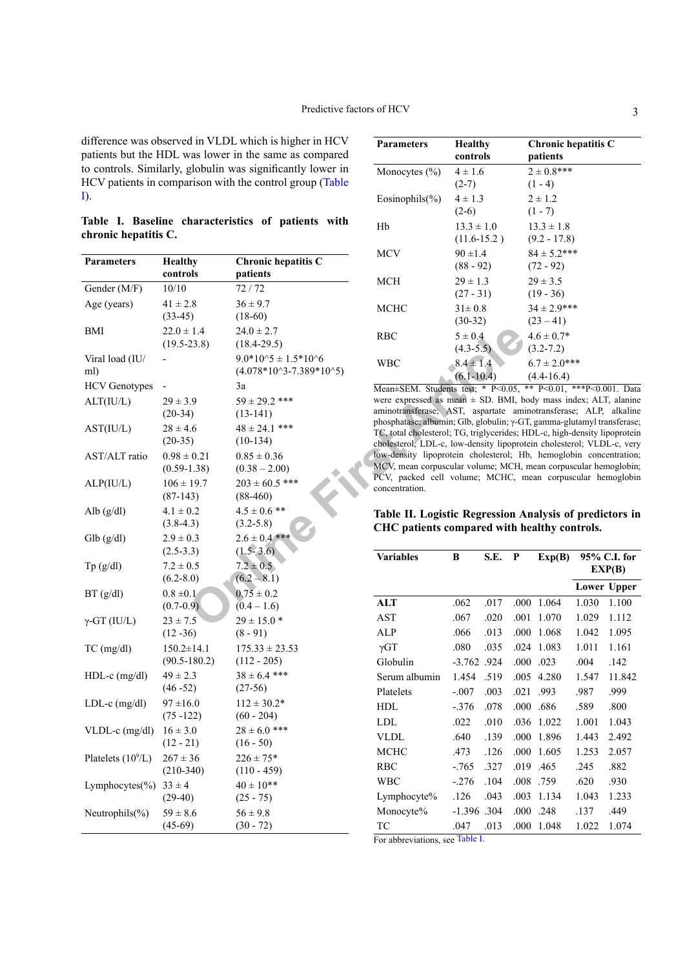difference was observed in VLDL which is higher in HCV patients but the HDL was lower in the same as compared to controls. Similarly, globulin was significantly lower in HCV patients in comparison with the control group [\(Table](#page-2-0) [I](#page-2-0)).

<span id="page-2-0"></span>**Table I. Baseline characteristics of patients with chronic hepatitis C.**

|                        |                                   |                                                           | <b>MCV</b>                                                                               | $90 \pm 1.4$                    |      |     |
|------------------------|-----------------------------------|-----------------------------------------------------------|------------------------------------------------------------------------------------------|---------------------------------|------|-----|
| <b>Parameters</b>      | <b>Healthy</b><br>controls        | Chronic hepatitis C<br>patients                           |                                                                                          | $(88 - 92)$                     |      |     |
| Gender (M/F)           | 10/10                             | 72/72                                                     | MCH                                                                                      | $29 \pm 1.3$                    |      |     |
|                        |                                   |                                                           |                                                                                          | $(27 - 31)$                     |      |     |
| Age (years)            | $41 \pm 2.8$                      | $36 \pm 9.7$                                              | <b>MCHC</b>                                                                              | $31 \pm 0.8$                    |      |     |
|                        | $(33-45)$                         | $(18-60)$                                                 |                                                                                          | $(30-32)$                       |      |     |
| BMI                    | $22.0 \pm 1.4$<br>$(19.5 - 23.8)$ | $24.0 \pm 2.7$<br>$(18.4 - 29.5)$                         | <b>RBC</b>                                                                               | $5\pm0.4$<br>$(4.3 - 5.5)$      |      |     |
| Viral load (IU/<br>ml) |                                   | $9.0*10^{3}5 \pm 1.5*10^{6}$<br>$(4.078*10^3-7.389*10^5)$ | <b>WBC</b>                                                                               | $8.4 \pm 1.4$<br>$(6.1 - 10.4)$ |      |     |
| <b>HCV</b> Genotypes   |                                   | 3a                                                        | Mean±SEM. Students test; * P<0.05, *                                                     |                                 |      |     |
| ALT(IU/L)              | $29 \pm 3.9$                      | $59 \pm 29.2$ ***                                         | were expressed as mean $\pm$ SD. BMI, b                                                  |                                 |      |     |
|                        | $(20-34)$                         | $(13-141)$                                                | aminotransferase; AST, aspartate ami                                                     |                                 |      |     |
| AST(IU/L)              | $28 \pm 4.6$                      | $48 \pm 24.1$ ***                                         | phosphatase; albumin; Glb, globulin; γ-G'<br>TC, total cholesterol; TG, triglycerides; H |                                 |      |     |
|                        | $(20-35)$                         | $(10-134)$                                                | cholesterol; LDL-c, low-density lipoprot                                                 |                                 |      |     |
| AST/ALT ratio          | $0.98 \pm 0.21$                   | $0.85 \pm 0.36$                                           | low-density lipoprotein cholesterol; HI                                                  |                                 |      |     |
|                        | $(0.59-1.38)$                     | $(0.38 - 2.00)$                                           | MCV, mean corpuscular volume; MCH,                                                       |                                 |      |     |
| ALP(IU/L)              | $106 \pm 19.7$                    | $203 \pm 60.5$ ***                                        | PCV, packed cell volume; MCHC, n                                                         |                                 |      |     |
|                        | $(87-143)$                        | $(88-460)$                                                | concentration.                                                                           |                                 |      |     |
| Alb $(g/dl)$           | $4.1 \pm 0.2$                     | $4.5 \pm 0.6$ **                                          | <b>Table II. Logistic Regression A</b>                                                   |                                 |      |     |
|                        | $(3.8-4.3)$                       | $(3.2 - 5.8)$                                             | CHC patients compared with h                                                             |                                 |      |     |
| Glb (g/dl)             | $2.9 \pm 0.3$                     | $2.6 \pm 0.4$ ***                                         |                                                                                          |                                 |      |     |
|                        | $(2.5-3.3)$                       | $(1.5 - 3.6)$                                             | <b>Variables</b>                                                                         | B                               | S.E. | P   |
| Tp(g/dl)               | $7.2 \pm 0.5$                     | $7.2 \pm 0.5$                                             |                                                                                          |                                 |      |     |
|                        | $(6.2 - 8.0)$                     | $(6.2 - 8.1)$                                             |                                                                                          |                                 |      |     |
| BT(g/dl)               | $0.8 \pm 0.1$                     | $0.75 \pm 0.2$                                            |                                                                                          |                                 |      |     |
|                        | $(0.7-0.9)$                       | $(0.4 - 1.6)$                                             | <b>ALT</b>                                                                               | .062                            | .017 | .00 |
| $\gamma$ -GT (IU/L)    | $23 \pm 7.5$                      | $29 \pm 15.0$ *                                           | AST                                                                                      | .067                            | .020 | .00 |
|                        | $(12 - 36)$                       | $(8 - 91)$                                                | <b>ALP</b>                                                                               | .066                            | .013 | .00 |
| $TC$ (mg/dl)           | $150.2 \pm 14.1$                  | $175.33 \pm 23.53$                                        | $\gamma GT$                                                                              | .080                            | .035 | .02 |
|                        | $(90.5-180.2)$                    | $(112 - 205)$                                             | Globulin                                                                                 | $-3.762$ .924                   |      | .00 |
| $HDL-c$ (mg/dl)        | $49 \pm 2.3$                      | $38 \pm 6.4$ ***                                          | Serum albumin                                                                            | 1.454                           | .519 | .00 |
|                        | $(46 - 52)$                       | $(27-56)$                                                 | Platelets                                                                                | $-.007$                         | .003 | .02 |
| LDL-c (mg/dl)          | $97 \pm 16.0$                     | $112 \pm 30.2*$                                           | <b>HDL</b>                                                                               | $-.376$                         | .078 | .00 |
|                        | $(75 - 122)$                      | $(60 - 204)$                                              | LDL                                                                                      | .022                            | .010 | .03 |
| VLDL-c (mg/dl)         | $16 \pm 3.0$                      | $28 \pm 6.0$ ***                                          | <b>VLDL</b>                                                                              | .640                            |      | .00 |
|                        | $(12 - 21)$                       | $(16 - 50)$                                               |                                                                                          |                                 | .139 |     |
| Platelets $(10^9/L)$   | $267 \pm 36$                      | $226 \pm 75*$                                             | <b>MCHC</b>                                                                              | .473                            | .126 | .00 |
|                        | $(210-340)$                       | $(110 - 459)$                                             | <b>RBC</b>                                                                               | $-.765$                         | .327 | .01 |
| Lymphocytes $(\% )$    | $33 \pm 4$                        | $40 \pm 10^{**}$                                          | <b>WBC</b>                                                                               | $-.276$                         | .104 | .00 |
|                        | $(29-40)$                         | $(25 - 75)$                                               | Lymphocyte%                                                                              | .126                            | .043 | .00 |
| Neutrophils $(\% )$    | $59 \pm 8.6$                      | $56 \pm 9.8$                                              | Monocyte%                                                                                | $-1.396$ .304                   |      | .00 |
|                        | $(45-69)$                         | $(30 - 72)$                                               | TC                                                                                       | .047                            | .013 | .00 |
|                        |                                   |                                                           |                                                                                          |                                 |      |     |

| <b>Parameters</b>   | <b>Healthy</b><br>controls | Chronic hepatitis C<br>patients |
|---------------------|----------------------------|---------------------------------|
| Monocytes $(\% )$   | $4 \pm 1.6$                | $2 \pm 0.8$ ***                 |
|                     | $(2-7)$                    | $(1 - 4)$                       |
| Eosinophils $(\% )$ | $4 \pm 1.3$                | $2 \pm 1.2$                     |
|                     | $(2-6)$                    | $(1 - 7)$                       |
| Hb                  | $13.3 \pm 1.0$             | $13.3 \pm 1.8$                  |
|                     | $(11.6-15.2)$              | $(9.2 - 17.8)$                  |
| <b>MCV</b>          | $90 \pm 1.4$               | $84 \pm 5.2$ ***                |
|                     | $(88 - 92)$                | $(72 - 92)$                     |
| MCH                 | $29 \pm 1.3$               | $29 \pm 3.5$                    |
|                     | $(27 - 31)$                | $(19 - 36)$                     |
| MCHC                | $31 \pm 0.8$               | $34 \pm 2.9$ ***                |
|                     | $(30-32)$                  | $(23 - 41)$                     |
| RBC                 | $5 \pm 0.4$                | $4.6 \pm 0.7*$                  |
|                     | $(4.3 - 5.5)$              | $(3.2 - 7.2)$                   |
| WBC                 | $8.4 \pm 1.4$              | $6.7 \pm 2.0$ ***               |
|                     | $(6.1 - 10.4)$             | $(4.4 - 16.4)$                  |

Mean±SEM. Students test; \* P<0.05, \*\* P<0.01, \*\*\*P<0.001. Data were expressed as mean  $\pm$  SD. BMI, body mass index; ALT, alanine aminotransferase; AST, aspartate aminotransferase; ALP, alkaline phosphatase; albumin; Glb, globulin; γ-GT, gamma-glutamyl transferase; TC, total cholesterol; TG, triglycerides; HDL-c, high-density lipoprotein cholesterol; LDL-c, low-density lipoprotein cholesterol; VLDL-c, very low-density lipoprotein cholesterol; Hb, hemoglobin concentration; MCV, mean corpuscular volume; MCH, mean corpuscular hemoglobin; PCV, packed cell volume; MCHC, mean corpuscular hemoglobin concentration.

<span id="page-2-1"></span>

|                                              |  | Table II. Logistic Regression Analysis of predictors in |  |
|----------------------------------------------|--|---------------------------------------------------------|--|
| CHC patients compared with healthy controls. |  |                                                         |  |

| <b>Variables</b> | B        | S.E. | P    | Exp(B) | 95% C.I. for<br>EXP(B) |                    |
|------------------|----------|------|------|--------|------------------------|--------------------|
|                  |          |      |      |        |                        | <b>Lower Upper</b> |
| ALT              | .062     | .017 | .000 | 1.064  | 1.030                  | 1.100              |
| AST              | .067     | .020 | .001 | 1.070  | 1.029                  | 1.112              |
| ALP              | .066     | .013 | .000 | 1.068  | 1.042                  | 1.095              |
| $\gamma GT$      | .080     | .035 | .024 | 1.083  | 1.011                  | 1.161              |
| Globulin         | $-3.762$ | .924 | .000 | .023   | .004                   | .142               |
| Serum albumin    | 1.454    | .519 | .005 | 4.280  | 1.547                  | 11.842             |
| Platelets        | $-.007$  | .003 | .021 | .993   | .987                   | .999               |
| HDL              | $-.376$  | .078 | .000 | .686   | .589                   | .800               |
| LDL              | .022     | .010 | .036 | 1.022  | 1.001                  | 1.043              |
| <b>VLDL</b>      | .640     | .139 | .000 | 1.896  | 1.443                  | 2.492              |
| <b>MCHC</b>      | .473     | .126 | .000 | 1.605  | 1.253                  | 2.057              |
| <b>RBC</b>       | $-765$   | .327 | .019 | .465   | .245                   | .882               |
| <b>WBC</b>       | $-.276$  | .104 | .008 | .759   | .620                   | .930               |
| Lymphocyte%      | .126     | .043 | .003 | 1.134  | 1.043                  | 1.233              |
| Monocyte%        | $-1.396$ | .304 | .000 | .248   | .137                   | .449               |
| ТC               | .047     | .013 | .000 | 1.048  | 1.022                  | 1.074              |

For abbreviations, see [Table I](#page-2-0).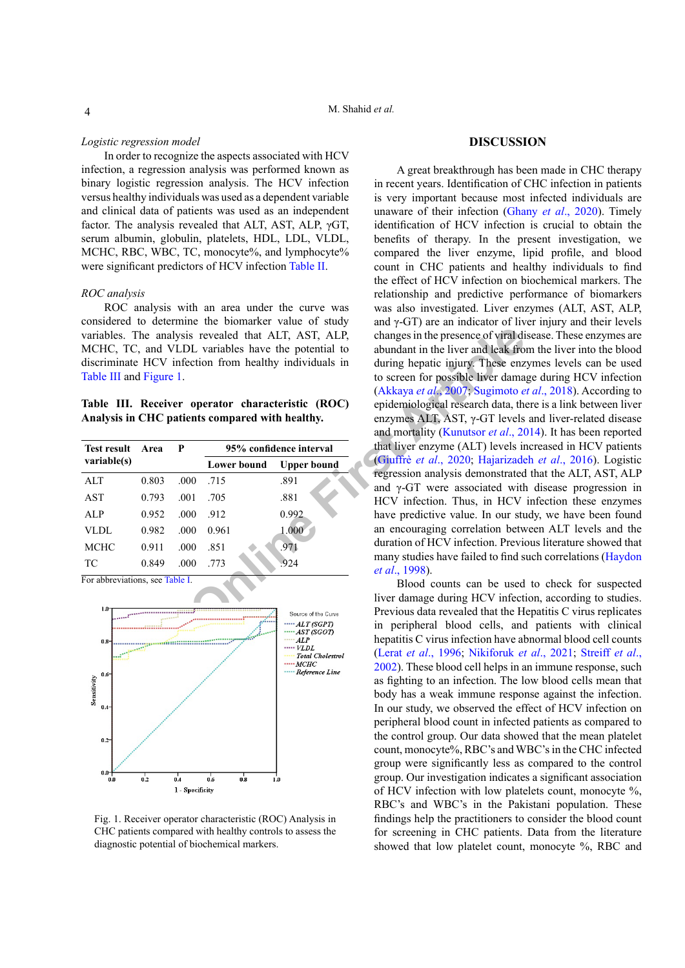#### *Logistic regression model*

In order to recognize the aspects associated with HCV infection, a regression analysis was performed known as binary logistic regression analysis. The HCV infection versus healthy individuals was used as a dependent variable and clinical data of patients was used as an independent factor. The analysis revealed that ALT, AST, ALP, γGT, serum albumin, globulin, platelets, HDL, LDL, VLDL, MCHC, RBC, WBC, TC, monocyte%, and lymphocyte% were significant predictors of HCV infection [Table II.](#page-2-1)

#### *ROC analysis*

ROC analysis with an area under the curve was considered to determine the biomarker value of study variables. The analysis revealed that ALT, AST, ALP, MCHC, TC, and VLDL variables have the potential to discriminate HCV infection from healthy individuals in [Table III](#page-3-0) and [Figure 1](#page-3-1).

<span id="page-3-0"></span>**Table III. Receiver operator characteristic (ROC) Analysis in CHC patients compared with healthy.**

| <b>Test result</b>                                                                    | Area  | P    | 95% confidence interval |                    |  |  |  |
|---------------------------------------------------------------------------------------|-------|------|-------------------------|--------------------|--|--|--|
| variable(s)                                                                           |       |      | <b>Lower bound</b>      | <b>Upper bound</b> |  |  |  |
| <b>ALT</b>                                                                            | 0.803 | .000 | .715                    | .891               |  |  |  |
| AST                                                                                   | 0.793 | .001 | .705                    | .881               |  |  |  |
| ALP                                                                                   | 0.952 | .000 | .912                    | 0.992              |  |  |  |
| <b>VLDL</b>                                                                           | 0.982 | .000 | 0.961                   | 1.000              |  |  |  |
| <b>MCHC</b>                                                                           | 0.911 | .000 | .851                    | .971               |  |  |  |
| <b>TC</b><br>$\Gamma$ and the second of the second $\Gamma$ . If $\Gamma$ is $\Gamma$ | 0.849 | .000 | .773                    | .924               |  |  |  |

For abbreviations, see [Table I](#page-2-0).



<span id="page-3-1"></span>Fig. 1. Receiver operator characteristic (ROC) Analysis in CHC patients compared with healthy controls to assess the diagnostic potential of biochemical markers.

#### **DISCUSSION**

Fra[c](#page-6-9)tion from healthy individuals in<br>
DL variables have the potential to<br>
conform healthy individuals in<br>
the presence of viral distribution from healthy individuals in<br>
of the state of the presence of possible liver dama A great breakthrough has been made in CHC therapy in recent years. Identification of CHC infection in patients is very important because most infected individuals are unaware of their infection (Ghany *et al*[., 2020](#page-5-9)). Timely identification of HCV infection is crucial to obtain the benefits of therapy. In the present investigation, we compared the liver enzyme, lipid profile, and blood count in CHC patients and healthy individuals to find the effect of HCV infection on biochemical markers. The relationship and predictive performance of biomarkers was also investigated. Liver enzymes (ALT, AST, ALP, and  $\gamma$ -GT) are an indicator of liver injury and their levels changes in the presence of viral disease. These enzymes are abundant in the liver and leak from the liver into the blood during hepatic injury. These enzymes levels can be used to screen for possible liver damage during HCV infection (Akkaya *et al*., 2007; Sugimoto *et al*., 2018). According to epidemiological research data, there is a link between liver enzymes ALT, AST, γ-GT levels and liver-related disease and mortality (Kunutsor *et al*., 2014). It has been reported that liver enzyme (ALT) levels increased in HCV patients (Giuffrè *et al*., 2020; Hajarizadeh *et al*., 2016). Logistic regression analysis demonstrated that the ALT, AST, ALP and γ-GT were associated with disease progression in HCV infection. Thus, in HCV infection these enzymes have predictive value. In our study, we have been found an encouraging correlation between ALT levels and the duration of HCV infection. Previous literature showed that many studies have failed to find such correlations ([Haydon](#page-5-12)  *et al*., 1998).

Blood counts can be used to check for suspected liver damage during HCV infection, according to studies. Previous data revealed that the Hepatitis C virus replicates in peripheral blood cells, and patients with clinical hepatitis C virus infection have abnormal blood cell counts (Lerat *et al*., 1996; [Nikiforuk](#page-6-8) *et al*., 2021; [Streiff](#page-6-10) *et al*., [2002](#page-6-10)). These blood cell helps in an immune response, such as fighting to an infection. The low blood cells mean that body has a weak immune response against the infection. In our study, we observed the effect of HCV infection on peripheral blood count in infected patients as compared to the control group. Our data showed that the mean platelet count, monocyte%, RBC's and WBC's in the CHC infected group were significantly less as compared to the control group. Our investigation indicates a significant association of HCV infection with low platelets count, monocyte %, RBC's and WBC's in the Pakistani population. These findings help the practitioners to consider the blood count for screening in CHC patients. Data from the literature showed that low platelet count, monocyte %, RBC and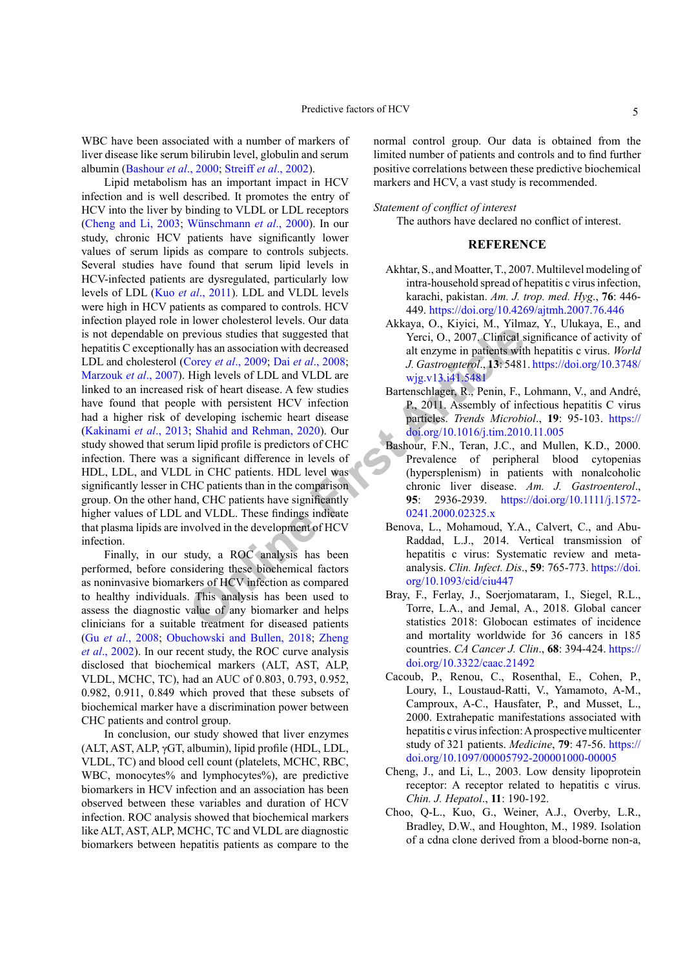WBC have been associated with a number of markers of liver disease like serum bilirubin level, globulin and serum albumin [\(Bashour](#page-4-6) *et al*., 2000; [Streiff](#page-6-10) *et al*., 2002).

**EXECUTE:** THE SERV[A](https://doi.org/10.1016/j.tim.2010.11.005)NE CREAT AND MANUSE SURFAINS And SURFAIN (STRIP) levels of LDL and VLCD. This and VLCD and VLCD and VLCD and VLCD and VLCD and VLCD and VLCD and VLCD and VLCD and VLCD and VLCD and VLCD and VLCD and VL Lipid metabolism has an important impact in HCV infection and is well described. It promotes the entry of HCV into the liver by binding to VLDL or LDL receptors ([Cheng and Li, 2003](#page-4-7); Wünschmann *et al*., 2000). In our study, chronic HCV patients have significantly lower values of serum lipids as compare to controls subjects. Several studies have found that serum lipid levels in HCV-infected patients are dysregulated, particularly low levels of LDL (Kuo *et al*[., 2011](#page-6-11)). LDL and VLDL levels were high in HCV patients as compared to controls. HCV infection played role in lower cholesterol levels. Our data is not dependable on previous studies that suggested that hepatitis C exceptionally has an association with decreased LDL and cholesterol (Corey *et al*., 2009; Dai *et al*., 2008; [Marzouk](#page-6-12) *et al*., 2007). High levels of LDL and VLDL are linked to an increased risk of heart disease. A few studies have found that people with persistent HCV infection had a higher risk of developing ischemic heart disease ([Kakinami](#page-5-15) *et al*., 2013; Shahid and Rehman, 2020). Our study showed that serum lipid profile is predictors of CHC infection. There was a significant difference in levels of HDL, LDL, and VLDL in CHC patients. HDL level was significantly lesser in CHC patients than in the comparison group. On the other hand, CHC patients have significantly higher values of LDL and VLDL. These findings indicate that plasma lipids are involved in the development of HCV infection.

Finally, in our study, a ROC analysis has been performed, before considering these biochemical factors as noninvasive biomarkers of HCV infection as compared to healthy individuals. This analysis has been used to assess the diagnostic value of any biomarker and helps clinicians for a suitable treatment for diseased patients (Gu *et al*[., 2008](#page-5-16); [Obuchowski and Bullen, 2018](#page-6-14); [Zheng](#page-6-15) *et al*[., 2002](#page-6-15)). In our recent study, the ROC curve analysis disclosed that biochemical markers (ALT, AST, ALP, VLDL, MCHC, TC), had an AUC of 0.803, 0.793, 0.952, 0.982, 0.911, 0.849 which proved that these subsets of biochemical marker have a discrimination power between CHC patients and control group.

In conclusion, our study showed that liver enzymes (ALT, AST, ALP, γGT, albumin), lipid profile (HDL, LDL, VLDL, TC) and blood cell count (platelets, MCHC, RBC, WBC, monocytes% and lymphocytes%), are predictive biomarkers in HCV infection and an association has been observed between these variables and duration of HCV infection. ROC analysis showed that biochemical markers like ALT, AST, ALP, MCHC, TC and VLDL are diagnostic biomarkers between hepatitis patients as compare to the

normal control group. Our data is obtained from the limited number of patients and controls and to find further positive correlations between these predictive biochemical markers and HCV, a vast study is recommended.

#### *Statement of conflict of interest*

The authors have declared no conflict of interest.

# **REFERENCE**

- <span id="page-4-1"></span>Akhtar, S., and Moatter, T., 2007. Multilevel modeling of intra-household spread of hepatitis c virus infection, karachi, pakistan. *Am. J. trop. med. Hyg*., **76**: 446- 449. <https://doi.org/10.4269/ajtmh.2007.76.446>
- <span id="page-4-5"></span>Akkaya, O., Kiyici, M., Yilmaz, Y., Ulukaya, E., and Yerci, O., 2007. Clinical significance of activity of alt enzyme in patients with hepatitis c virus. *World J. Gastroenterol*., **13**: 5481. [https://doi.org/10.3748/](https://doi.org/10.3748/wjg.v13.i41.5481) wjg.v13.i41.5481
- Bartenschlager, R., Penin, F., Lohmann, V., and André, P., 2011. Assembly of infectious hepatitis C virus particles. *Trends Microbiol*., **19**: 95-103. [https://](https://doi.org/10.1016/j.tim.2010.11.005) doi.org/10.1016/j.tim.2010.11.005
- <span id="page-4-6"></span>Bashour, F.N., Teran, J.C., and Mullen, K.D., 2000. Prevalence of peripheral blood cytopenias (hypersplenism) in patients with nonalcoholic chronic liver disease. *Am. J. Gastroenterol*., **95**: 2936-2939. [https://doi.org/10.1111/j.1572-](https://doi.org/10.1111/j.1572-0241.2000.02325.x) 0241.2000.02325.x
- <span id="page-4-3"></span>Benova, L., Mohamoud, Y.A., Calvert, C., and Abu-Raddad, L.J., 2014. Vertical transmission of hepatitis c virus: Systematic review and metaanalysis. *Clin. Infect. Dis*., **59**: 765-773. [https://doi.](https://doi.org/10.1093/cid/ciu447) org/10.1093/cid/ciu447
- <span id="page-4-0"></span>Bray, F., Ferlay, J., Soerjomataram, I., Siegel, R.L., Torre, L.A., and Jemal, A., 2018. Global cancer statistics 2018: Globocan estimates of incidence and mortality worldwide for 36 cancers in 185 countries. *CA Cancer J. Clin*., **68**: 394-424. [https://](https://doi.org/10.3322/caac.21492) [doi.org/10.3322/caac.21492](https://doi.org/10.3322/caac.21492)
- <span id="page-4-4"></span>Cacoub, P., Renou, C., Rosenthal, E., Cohen, P., Loury, I., Loustaud-Ratti, V., Yamamoto, A-M., Camproux, A-C., Hausfater, P., and Musset, L., 2000. Extrahepatic manifestations associated with hepatitis c virus infection: A prospective multicenter study of 321 patients. *Medicine*, **79**: 47-56. [https://](https://doi.org/10.1097/00005792-200001000-00005) [doi.org/10.1097/00005792-200001000-00005](https://doi.org/10.1097/00005792-200001000-00005)
- <span id="page-4-7"></span>Cheng, J., and Li, L., 2003. Low density lipoprotein receptor: A receptor related to hepatitis c virus. *Chin. J. Hepatol*., **11**: 190-192.
- <span id="page-4-2"></span>Choo, Q-L., Kuo, G., Weiner, A.J., Overby, L.R., Bradley, D.W., and Houghton, M., 1989. Isolation of a cdna clone derived from a blood-borne non-a,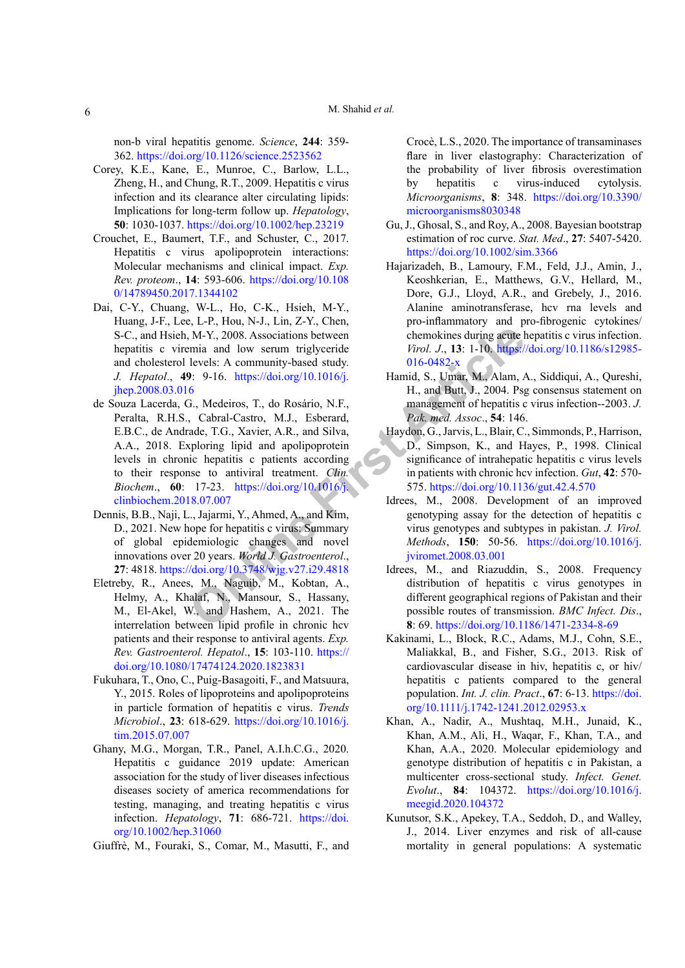non-b viral hepatitis genome. *Science*, **244**: 359- 362.<https://doi.org/10.1126/science.2523562>

- <span id="page-5-13"></span>Corey, K.E., Kane, E., Munroe, C., Barlow, L.L., Zheng, H., and Chung, R.T., 2009. Hepatitis c virus infection and its clearance alter circulating lipids: Implications for long-term follow up. *Hepatology*, **50**: 1030-1037. <https://doi.org/10.1002/hep.23219>
- <span id="page-5-5"></span>Crouchet, E., Baumert, T.F., and Schuster, C., 2017. Hepatitis c virus apolipoprotein interactions: Molecular mechanisms and clinical impact. *Exp. Rev. proteom*., **14**: 593-606. [https://doi.org/10.108](https://doi.org/10.1080/14789450.2017.1344102) [0/14789450.2017.1344102](https://doi.org/10.1080/14789450.2017.1344102)
- <span id="page-5-14"></span>Dai, C-Y., Chuang, W-L., Ho, C-K., Hsieh, M-Y., Huang, J-F., Lee, L-P., Hou, N-J., Lin, Z-Y., Chen, S-C., and Hsieh, M-Y., 2008. Associations between hepatitis c viremia and low serum triglyceride and cholesterol levels: A community-based study. *J. Hepatol*., **49**: 9-16. https://doi.org/10.1016/j. [jhep.2008.03.016](https://doi.org/10.1016/j.jhep.2008.03.016)
- <span id="page-5-6"></span>**EXECTS**, M-Y., 2008. Assoc[i](https://doi.org/10.1186/s12985-016-0482-x)ations between<br>
The and low serum triglyceride<br>
The Unit of Unit of Unit of the Section of the Section of the Section of the Section of Section of Section Control of H. and Butt, N., Alam, A.<br> de Souza Lacerda, G., Medeiros, T., do Rosário, N.F., Peralta, R.H.S., Cabral-Castro, M.J., Esberard, E.B.C., de Andrade, T.G., Xavier, A.R., and Silva, A.A., 2018. Exploring lipid and apolipoprotein levels in chronic hepatitis c patients according to their response to antiviral treatment. *Clin. Biochem*., **60**: 17-23. https://doi.org/10.1016/j. [clinbiochem.2018.07.007](https://doi.org/10.1016/j.clinbiochem.2018.07.007)
- <span id="page-5-0"></span>Dennis, B.B., Naji, L., Jajarmi, Y., Ahmed, A., and Kim, D., 2021. New hope for hepatitis c virus: Summary of global epidemiologic changes and novel innovations over 20 years. *World J. Gastroenterol*., **27**: 4818. https://doi.org/10.3748/wjg.v27.i29.4818
- <span id="page-5-7"></span>Eletreby, R., Anees, M., Naguib, M., Kobtan, A., Helmy, A., Khalaf, N., Mansour, S., Hassany, M., El-Akel, W., and Hashem, A., 2021. The interrelation between lipid profile in chronic hcv patients and their response to antiviral agents. *Exp. Rev. Gastroenterol. Hepatol*., **15**: 103-110. [https://](https://doi.org/10.1080/17474124.2020.1823831) [doi.org/10.1080/17474124.2020.1823831](https://doi.org/10.1080/17474124.2020.1823831)
- <span id="page-5-4"></span>Fukuhara, T., Ono, C., Puig-Basagoiti, F., and Matsuura, Y., 2015. Roles of lipoproteins and apolipoproteins in particle formation of hepatitis c virus. *Trends Microbiol*., **23**: 618-629. [https://doi.org/10.1016/j.](https://doi.org/10.1016/j.tim.2015.07.007) [tim.2015.07.007](https://doi.org/10.1016/j.tim.2015.07.007)
- <span id="page-5-9"></span>Ghany, M.G., Morgan, T.R., Panel, A.I.h.C.G., 2020. Hepatitis c guidance 2019 update: American association for the study of liver diseases infectious diseases society of america recommendations for testing, managing, and treating hepatitis c virus infection. *Hepatology*, **71**: 686-721. [https://doi.](https://doi.org/10.1002/hep.31060) [org/10.1002/hep.31060](https://doi.org/10.1002/hep.31060)

Giuffrè, M., Fouraki, S., Comar, M., Masutti, F., and

Crocè, L.S., 2020. The importance of transaminases flare in liver elastography: Characterization of the probability of liver fibrosis overestimation by hepatitis c virus-induced cytolysis. *Microorganisms*, **8**: 348. [https://doi.org/10.3390/](https://doi.org/10.3390/microorganisms8030348) [microorganisms8030348](https://doi.org/10.3390/microorganisms8030348)

- <span id="page-5-16"></span>Gu, J., Ghosal, S., and Roy, A., 2008. Bayesian bootstrap estimation of roc curve. *Stat. Med*., **27**: 5407-5420. <https://doi.org/10.1002/sim.3366>
- <span id="page-5-11"></span>Hajarizadeh, B., Lamoury, F.M., Feld, J.J., Amin, J., Keoshkerian, E., Matthews, G.V., Hellard, M., Dore, G.J., Lloyd, A.R., and Grebely, J., 2016. Alanine aminotransferase, hcv rna levels and pro-inflammatory and pro-fibrogenic cytokines/ chemokines during acute hepatitis c virus infection. *Virol. J*., **13**: 1-10. [https://doi.org/10.1186/s12985-](https://doi.org/10.1186/s12985-016-0482-x) 016-0482-x
- <span id="page-5-1"></span>Hamid, S., Umar, M., Alam, A., Siddiqui, A., Qureshi, H., and Butt, J., 2004. Psg consensus statement on management of hepatitis c virus infection--2003. *J. Pak. med. Assoc*., **54**: 146.
- <span id="page-5-12"></span>Haydon, G., Jarvis, L., Blair, C., Simmonds, P., Harrison, D., Simpson, K., and Hayes, P., 1998. Clinical significance of intrahepatic hepatitis c virus levels in patients with chronic hcv infection. *Gut*, **42**: 570- 575. <https://doi.org/10.1136/gut.42.4.570>
- <span id="page-5-8"></span>Idrees, M., 2008. Development of an improved genotyping assay for the detection of hepatitis c virus genotypes and subtypes in pakistan. *J. Virol. Methods*, **150**: 50-56. [https://doi.org/10.1016/j.](https://doi.org/10.1016/j.jviromet.2008.03.001) jviromet.2008.03.001
- <span id="page-5-2"></span>Idrees, M., and Riazuddin, S., 2008. Frequency distribution of hepatitis c virus genotypes in different geographical regions of Pakistan and their possible routes of transmission. *BMC Infect. Dis*., **8**: 69. <https://doi.org/10.1186/1471-2334-8-69>
- <span id="page-5-15"></span>Kakinami, L., Block, R.C., Adams, M.J., Cohn, S.E., Maliakkal, B., and Fisher, S.G., 2013. Risk of cardiovascular disease in hiv, hepatitis c, or hiv/ hepatitis c patients compared to the general population. *Int. J. clin. Pract*., **67**: 6-13. [https://doi.](https://doi.org/10.1111/j.1742-1241.2012.02953.x) [org/10.1111/j.1742-1241.2012.02953.x](https://doi.org/10.1111/j.1742-1241.2012.02953.x)
- <span id="page-5-3"></span>Khan, A., Nadir, A., Mushtaq, M.H., Junaid, K., Khan, A.M., Ali, H., Waqar, F., Khan, T.A., and Khan, A.A., 2020. Molecular epidemiology and genotype distribution of hepatitis c in Pakistan, a multicenter cross-sectional study. *Infect. Genet. Evolut*., **84**: 104372. [https://doi.org/10.1016/j.](https://doi.org/10.1016/j.meegid.2020.104372) [meegid.2020.104372](https://doi.org/10.1016/j.meegid.2020.104372)
- <span id="page-5-10"></span>Kunutsor, S.K., Apekey, T.A., Seddoh, D., and Walley, J., 2014. Liver enzymes and risk of all-cause mortality in general populations: A systematic

6